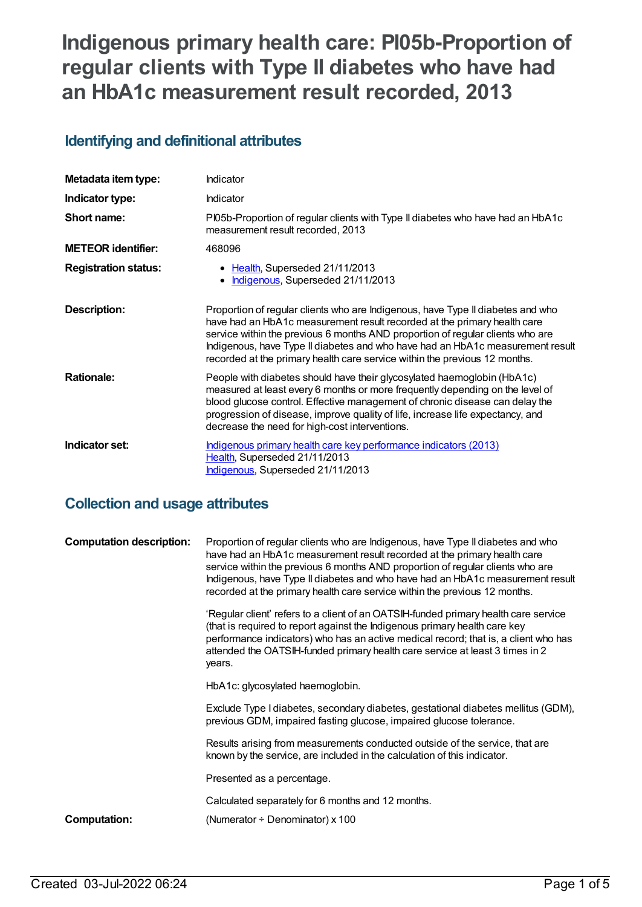# **Indigenous primary health care: PI05b-Proportion of regular clients with Type II diabetes who have had an HbA1c measurement result recorded, 2013**

# **Identifying and definitional attributes**

| Metadata item type:         | Indicator                                                                                                                                                                                                                                                                                                                                                                                                     |  |
|-----------------------------|---------------------------------------------------------------------------------------------------------------------------------------------------------------------------------------------------------------------------------------------------------------------------------------------------------------------------------------------------------------------------------------------------------------|--|
| Indicator type:             | <b>Indicator</b>                                                                                                                                                                                                                                                                                                                                                                                              |  |
| Short name:                 | PI05b-Proportion of regular clients with Type II diabetes who have had an HbA1c<br>measurement result recorded, 2013                                                                                                                                                                                                                                                                                          |  |
| <b>METEOR</b> identifier:   | 468096                                                                                                                                                                                                                                                                                                                                                                                                        |  |
| <b>Registration status:</b> | Health, Superseded 21/11/2013<br>Indigenous, Superseded 21/11/2013                                                                                                                                                                                                                                                                                                                                            |  |
| <b>Description:</b>         | Proportion of regular clients who are Indigenous, have Type II diabetes and who<br>have had an HbA1c measurement result recorded at the primary health care<br>service within the previous 6 months AND proportion of regular clients who are<br>Indigenous, have Type II diabetes and who have had an HbA1c measurement result<br>recorded at the primary health care service within the previous 12 months. |  |
| <b>Rationale:</b>           | People with diabetes should have their glycosylated haemoglobin (HbA1c)<br>measured at least every 6 months or more frequently depending on the level of<br>blood glucose control. Effective management of chronic disease can delay the<br>progression of disease, improve quality of life, increase life expectancy, and<br>decrease the need for high-cost interventions.                                  |  |
| Indicator set:              | Indigenous primary health care key performance indicators (2013)<br>Health, Superseded 21/11/2013<br>Indigenous, Superseded 21/11/2013                                                                                                                                                                                                                                                                        |  |

# **Collection and usage attributes**

| <b>Computation description:</b> | Proportion of regular clients who are Indigenous, have Type II diabetes and who<br>have had an HbA1c measurement result recorded at the primary health care<br>service within the previous 6 months AND proportion of regular clients who are<br>Indigenous, have Type II diabetes and who have had an HbA1c measurement result<br>recorded at the primary health care service within the previous 12 months. |
|---------------------------------|---------------------------------------------------------------------------------------------------------------------------------------------------------------------------------------------------------------------------------------------------------------------------------------------------------------------------------------------------------------------------------------------------------------|
|                                 | 'Regular client' refers to a client of an OATSIH-funded primary health care service<br>(that is required to report against the Indigenous primary health care key<br>performance indicators) who has an active medical record; that is, a client who has<br>attended the OATSIH-funded primary health care service at least 3 times in 2<br>years.                                                            |
|                                 | HbA1c: glycosylated haemoglobin.                                                                                                                                                                                                                                                                                                                                                                              |
|                                 | Exclude Type I diabetes, secondary diabetes, gestational diabetes mellitus (GDM),<br>previous GDM, impaired fasting glucose, impaired glucose tolerance.                                                                                                                                                                                                                                                      |
|                                 | Results arising from measurements conducted outside of the service, that are<br>known by the service, are included in the calculation of this indicator.                                                                                                                                                                                                                                                      |
|                                 | Presented as a percentage.                                                                                                                                                                                                                                                                                                                                                                                    |
|                                 | Calculated separately for 6 months and 12 months.                                                                                                                                                                                                                                                                                                                                                             |
| Computation:                    | (Numerator $\div$ Denominator) x 100                                                                                                                                                                                                                                                                                                                                                                          |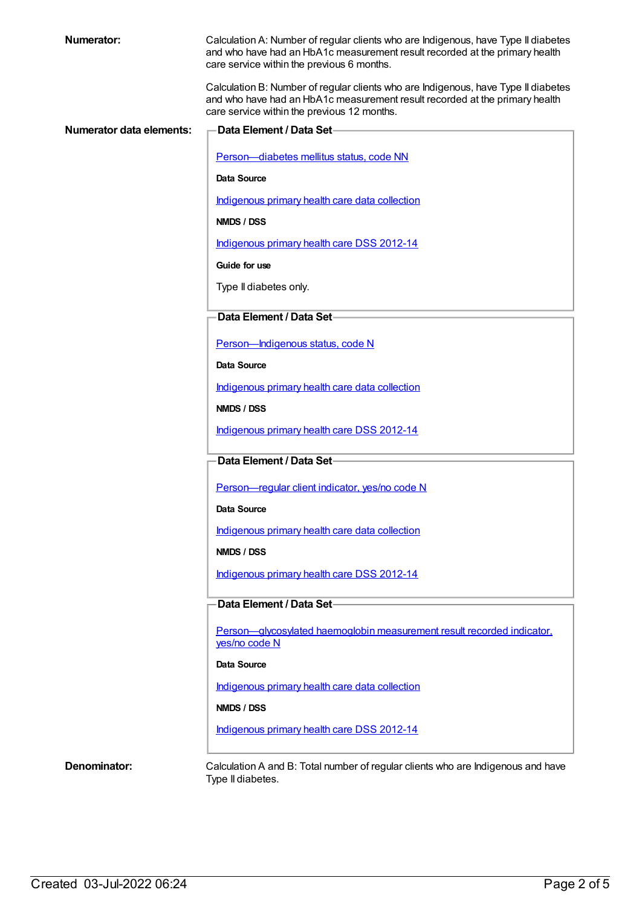| <b>Numerator:</b>        | Calculation A: Number of regular clients who are Indigenous, have Type II diabetes<br>and who have had an HbA1c measurement result recorded at the primary health<br>care service within the previous 6 months.  |
|--------------------------|------------------------------------------------------------------------------------------------------------------------------------------------------------------------------------------------------------------|
|                          | Calculation B: Number of regular clients who are Indigenous, have Type II diabetes<br>and who have had an HbA1c measurement result recorded at the primary health<br>care service within the previous 12 months. |
| Numerator data elements: | <b>Data Element / Data Set-</b>                                                                                                                                                                                  |
|                          | Person-diabetes mellitus status, code NN                                                                                                                                                                         |
|                          | Data Source                                                                                                                                                                                                      |
|                          | Indigenous primary health care data collection                                                                                                                                                                   |
|                          | NMDS / DSS                                                                                                                                                                                                       |
|                          | Indigenous primary health care DSS 2012-14                                                                                                                                                                       |
|                          | Guide for use                                                                                                                                                                                                    |
|                          | Type II diabetes only.                                                                                                                                                                                           |
|                          | Data Element / Data Set-                                                                                                                                                                                         |
|                          | Person-Indigenous status, code N                                                                                                                                                                                 |
|                          | Data Source                                                                                                                                                                                                      |
|                          | Indigenous primary health care data collection                                                                                                                                                                   |
|                          | NMDS / DSS                                                                                                                                                                                                       |
|                          | Indigenous primary health care DSS 2012-14                                                                                                                                                                       |
|                          | Data Element / Data Set-                                                                                                                                                                                         |
|                          | Person-regular client indicator, yes/no code N                                                                                                                                                                   |
|                          | Data Source                                                                                                                                                                                                      |
|                          | Indigenous primary health care data collection                                                                                                                                                                   |
|                          | NMDS / DSS                                                                                                                                                                                                       |
|                          | Indigenous primary health care DSS 2012-14                                                                                                                                                                       |
|                          | Data Element / Data Set-                                                                                                                                                                                         |
|                          | Person-glycosylated haemoglobin measurement result recorded indicator.<br>yes/no code N                                                                                                                          |
|                          | Data Source                                                                                                                                                                                                      |
|                          | Indigenous primary health care data collection                                                                                                                                                                   |
|                          | NMDS / DSS                                                                                                                                                                                                       |
|                          | Indigenous primary health care DSS 2012-14                                                                                                                                                                       |
| Denominator:             | Calculation A and B: Total number of regular clients who are Indigenous and have<br>Type II diabetes.                                                                                                            |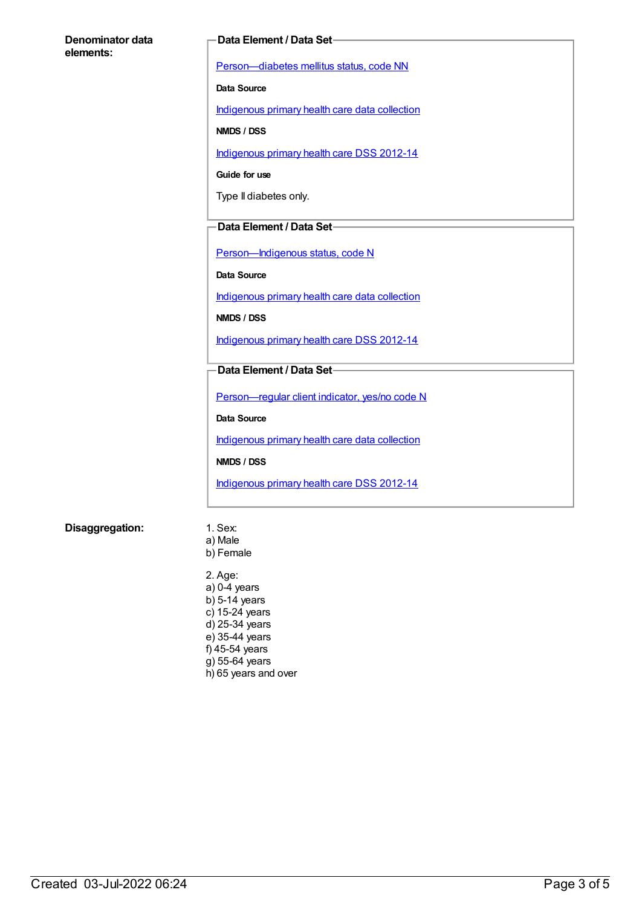#### **Denominator data elements:**

#### **Data Element / Data Set**

[Person—diabetes](https://meteor.aihw.gov.au/content/270194) mellitus status, code NN

**Data Source**

[Indigenous](https://meteor.aihw.gov.au/content/430643) primary health care data collection

**NMDS / DSS**

[Indigenous](https://meteor.aihw.gov.au/content/430629) primary health care DSS 2012-14

**Guide for use**

Type II diabetes only.

#### **Data Element / Data Set**

[Person—Indigenous](https://meteor.aihw.gov.au/content/291036) status, code N

**Data Source**

[Indigenous](https://meteor.aihw.gov.au/content/430643) primary health care data collection

**NMDS / DSS**

[Indigenous](https://meteor.aihw.gov.au/content/430629) primary health care DSS 2012-14

#### **Data Element / Data Set**

[Person—regular](https://meteor.aihw.gov.au/content/436639) client indicator, yes/no code N

**Data Source**

[Indigenous](https://meteor.aihw.gov.au/content/430643) primary health care data collection

**NMDS / DSS**

[Indigenous](https://meteor.aihw.gov.au/content/430629) primary health care DSS 2012-14

#### **Disaggregation:** 1. Sex:

- a) Male b) Female
- 2. Age: a) 0-4 years b) 5-14 years c) 15-24 years d) 25-34 years e) 35-44 years f) 45-54 years g) 55-64 years h) 65 years and over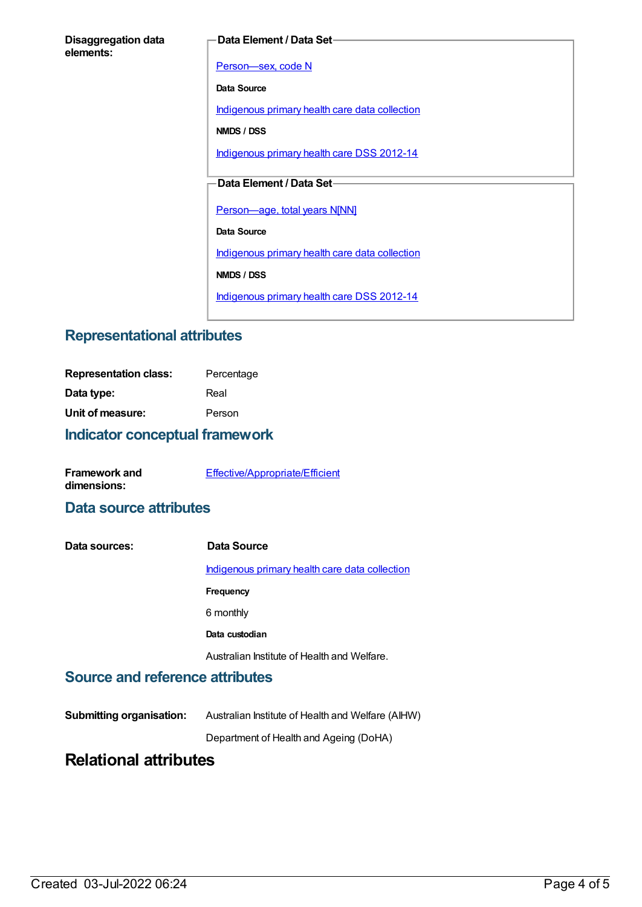#### **Data Element / Data Set**

[Person—sex,](https://meteor.aihw.gov.au/content/287316) code N

**Data Source**

[Indigenous](https://meteor.aihw.gov.au/content/430643) primary health care data collection

**NMDS / DSS**

[Indigenous](https://meteor.aihw.gov.au/content/430629) primary health care DSS 2012-14

### **Data Element / Data Set**

[Person—age,](https://meteor.aihw.gov.au/content/303794) total years N[NN]

**Data Source**

[Indigenous](https://meteor.aihw.gov.au/content/430643) primary health care data collection

**NMDS / DSS**

[Indigenous](https://meteor.aihw.gov.au/content/430629) primary health care DSS 2012-14

### **Representational attributes**

| <b>Representation class:</b> | Percentage |
|------------------------------|------------|
| Data type:                   | Real       |
| Unit of measure:             | Person     |
|                              |            |

### **Indicator conceptual framework**

| <b>Framework and</b> | Effective/Appropriate/Efficient |
|----------------------|---------------------------------|
| dimensions:          |                                 |

### **Data source attributes**

| Data sources: | Data Source                                    |
|---------------|------------------------------------------------|
|               | Indigenous primary health care data collection |
|               | Frequency                                      |
|               | 6 monthly                                      |
|               | Data custodian                                 |
|               | Australian Institute of Health and Welfare.    |

### **Source and reference attributes**

**Submitting organisation:** Australian Institute of Health and Welfare (AIHW)

Department of Health and Ageing (DoHA)

# **Relational attributes**